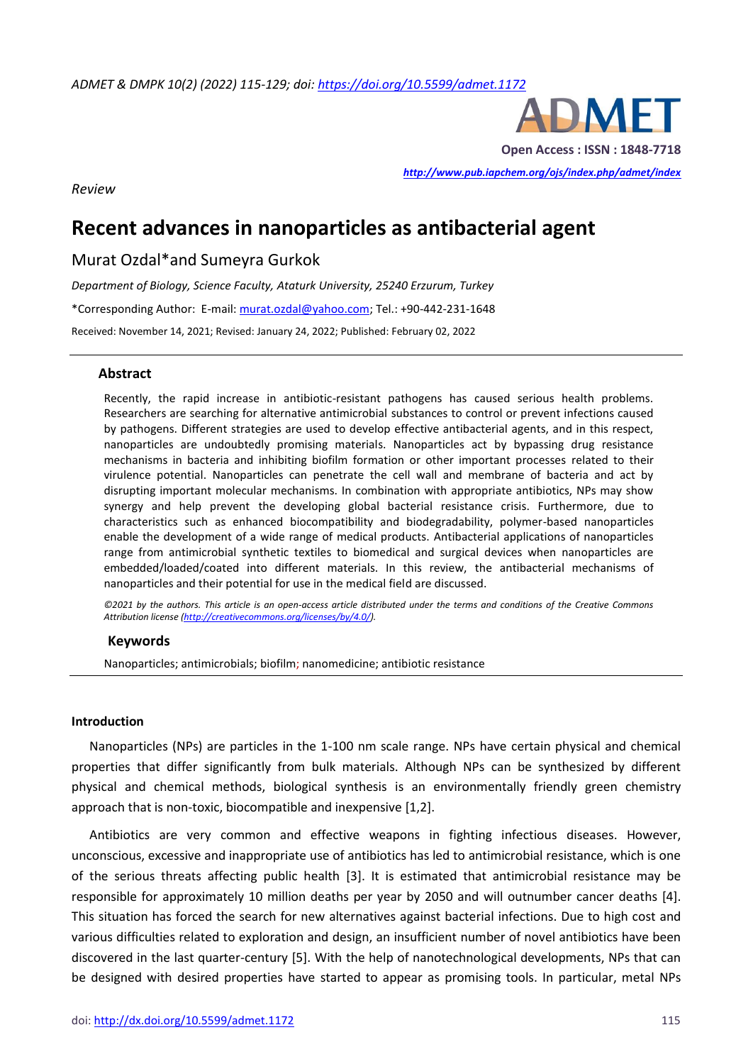*ADMET & DMPK 10(2) (2022) 115-129; doi[: https://doi.org/10.5599/admet.1172](https://doi.org/10.5599/admet.1172)*



**Open Access : ISSN : 1848-7718**

*<http://www.pub.iapchem.org/ojs/index.php/admet/index>* 

*Review*

# **Recent advances in nanoparticles as antibacterial agent**

Murat Ozdal\*and Sumeyra Gurkok

*Department of Biology, Science Faculty, Ataturk University, 25240 Erzurum, Turkey* \*Corresponding Author: E-mail[: murat.ozdal@yahoo.com;](mailto:murat.ozdal@yahoo.com) Tel.: +90-442-231-1648 Received: November 14, 2021; Revised: January 24, 2022; Published: February 02, 2022

# **Abstract**

Recently, the rapid increase in antibiotic-resistant pathogens has caused serious health problems. Researchers are searching for alternative antimicrobial substances to control or prevent infections caused by pathogens. Different strategies are used to develop effective antibacterial agents, and in this respect, nanoparticles are undoubtedly promising materials. Nanoparticles act by bypassing drug resistance mechanisms in bacteria and inhibiting biofilm formation or other important processes related to their virulence potential. Nanoparticles can penetrate the cell wall and membrane of bacteria and act by disrupting important molecular mechanisms. In combination with appropriate antibiotics, NPs may show synergy and help prevent the developing global bacterial resistance crisis. Furthermore, due to characteristics such as enhanced biocompatibility and biodegradability, polymer-based nanoparticles enable the development of a wide range of medical products. Antibacterial applications of nanoparticles range from antimicrobial synthetic textiles to biomedical and surgical devices when nanoparticles are embedded/loaded/coated into different materials. In this review, the antibacterial mechanisms of nanoparticles and their potential for use in the medical field are discussed.

*©2021 by the authors. This article is an open-access article distributed under the terms and conditions of the Creative Commons Attribution license [\(http://creativecommons.org/licenses/by/4.0/\)](http://creativecommons.org/licenses/by/4.0/).*

#### **Keywords**

Nanoparticles; antimicrobials; biofilm; nanomedicine; antibiotic resistance

#### **Introduction**

Nanoparticles (NPs) are particles in the 1-100 nm scale range. NPs have certain physical and chemical properties that differ significantly from bulk materials. Although NPs can be synthesized by different physical and chemical methods, biological synthesis is an environmentally friendly green chemistry approach that is non-toxic, biocompatible and inexpensive [1,2].

Antibiotics are very common and effective weapons in fighting infectious diseases. However, unconscious, excessive and inappropriate use of antibiotics has led to antimicrobial resistance, which is one of the serious threats affecting public health [3]. It is estimated that antimicrobial resistance may be responsible for approximately 10 million deaths per year by 2050 and will outnumber cancer deaths [4]. This situation has forced the search for new alternatives against bacterial infections. Due to high cost and various difficulties related to exploration and design, an insufficient number of novel antibiotics have been discovered in the last quarter-century [5]. With the help of nanotechnological developments, NPs that can be designed with desired properties have started to appear as promising tools. In particular, metal NPs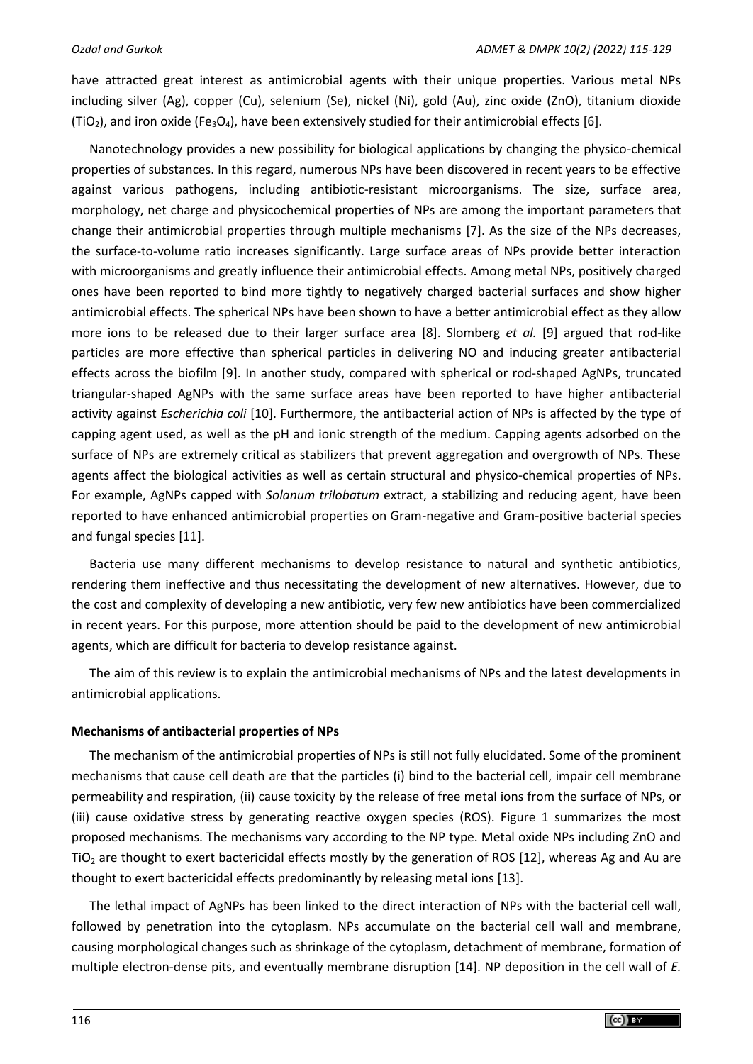have attracted great interest as antimicrobial agents with their unique properties. Various metal NPs including silver (Ag), copper (Cu), selenium (Se), nickel (Ni), gold (Au), zinc oxide (ZnO), titanium dioxide (TiO<sub>2</sub>), and iron oxide (Fe<sub>3</sub>O<sub>4</sub>), have been extensively studied for their antimicrobial effects [6].

Nanotechnology provides a new possibility for biological applications by changing the physico-chemical properties of substances. In this regard, numerous NPs have been discovered in recent years to be effective against various pathogens, including antibiotic-resistant microorganisms. The size, surface area, morphology, net charge and physicochemical properties of NPs are among the important parameters that change their antimicrobial properties through multiple mechanisms [7]. As the size of the NPs decreases, the surface-to-volume ratio increases significantly. Large surface areas of NPs provide better interaction with microorganisms and greatly influence their antimicrobial effects. Among metal NPs, positively charged ones have been reported to bind more tightly to negatively charged bacterial surfaces and show higher antimicrobial effects. The spherical NPs have been shown to have a better antimicrobial effect as they allow more ions to be released due to their larger surface area [8]. Slomberg *et al.* [9] argued that rod-like particles are more effective than spherical particles in delivering NO and inducing greater antibacterial effects across the biofilm [9]. In another study, compared with spherical or rod-shaped AgNPs, truncated triangular-shaped AgNPs with the same surface areas have been reported to have higher antibacterial activity against *Escherichia coli* [10]. Furthermore, the antibacterial action of NPs is affected by the type of capping agent used, as well as the pH and ionic strength of the medium. Capping agents adsorbed on the surface of NPs are extremely critical as stabilizers that prevent aggregation and overgrowth of NPs. These agents affect the biological activities as well as certain structural and physico-chemical properties of NPs. For example, AgNPs capped with *Solanum trilobatum* extract, a stabilizing and reducing agent, have been reported to have enhanced antimicrobial properties on Gram-negative and Gram-positive bacterial species and fungal species [11].

Bacteria use many different mechanisms to develop resistance to natural and synthetic antibiotics, rendering them ineffective and thus necessitating the development of new alternatives. However, due to the cost and complexity of developing a new antibiotic, very few new antibiotics have been commercialized in recent years. For this purpose, more attention should be paid to the development of new antimicrobial agents, which are difficult for bacteria to develop resistance against.

The aim of this review is to explain the antimicrobial mechanisms of NPs and the latest developments in antimicrobial applications.

#### **Mechanisms of antibacterial properties of NPs**

The mechanism of the antimicrobial properties of NPs is still not fully elucidated. Some of the prominent mechanisms that cause cell death are that the particles (i) bind to the bacterial cell, impair cell membrane permeability and respiration, (ii) cause toxicity by the release of free metal ions from the surface of NPs, or (iii) cause oxidative stress by generating reactive oxygen species (ROS). Figure 1 summarizes the most proposed mechanisms. The mechanisms vary according to the NP type. Metal oxide NPs including ZnO and  $TiO<sub>2</sub>$  are thought to exert bactericidal effects mostly by the generation of ROS [12], whereas Ag and Au are thought to exert bactericidal effects predominantly by releasing metal ions [13].

The lethal impact of AgNPs has been linked to the direct interaction of NPs with the bacterial cell wall, followed by penetration into the cytoplasm. NPs accumulate on the bacterial cell wall and membrane, causing morphological changes such as shrinkage of the cytoplasm, detachment of membrane, formation of multiple electron-dense pits, and eventually membrane disruption [14]. NP deposition in the cell wall of *E.*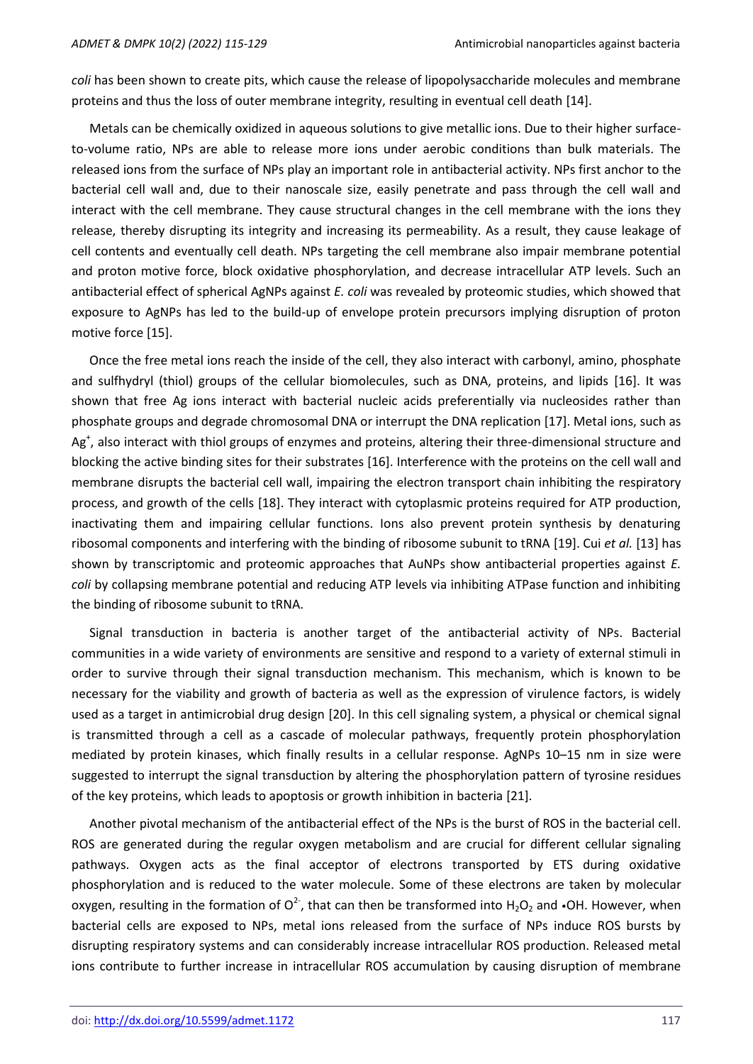*coli* has been shown to create pits, which cause the release of lipopolysaccharide molecules and membrane proteins and thus the loss of outer membrane integrity, resulting in eventual cell death [14].

Metals can be chemically oxidized in aqueous solutions to give metallic ions. Due to their higher surfaceto-volume ratio, NPs are able to release more ions under aerobic conditions than bulk materials. The released ions from the surface of NPs play an important role in antibacterial activity. NPs first anchor to the bacterial cell wall and, due to their nanoscale size, easily penetrate and pass through the cell wall and interact with the cell membrane. They cause structural changes in the cell membrane with the ions they release, thereby disrupting its integrity and increasing its permeability. As a result, they cause leakage of cell contents and eventually cell death. NPs targeting the cell membrane also impair membrane potential and proton motive force, block oxidative phosphorylation, and decrease intracellular ATP levels. Such an antibacterial effect of spherical AgNPs against *E. coli* was revealed by proteomic studies, which showed that exposure to AgNPs has led to the build-up of envelope protein precursors implying disruption of proton motive force [15].

Once the free metal ions reach the inside of the cell, they also interact with carbonyl, amino, phosphate and sulfhydryl (thiol) groups of the cellular biomolecules, such as DNA, proteins, and lipids [16]. It was shown that free Ag ions interact with bacterial nucleic acids preferentially via nucleosides rather than phosphate groups and degrade chromosomal DNA or interrupt the DNA replication [17]. Metal ions, such as Ag<sup>+</sup>, also interact with thiol groups of enzymes and proteins, altering their three-dimensional structure and blocking the active binding sites for their substrates [16]. Interference with the proteins on the cell wall and membrane disrupts the bacterial cell wall, impairing the electron transport chain inhibiting the respiratory process, and growth of the cells [18]. They interact with cytoplasmic proteins required for ATP production, inactivating them and impairing cellular functions. Ions also prevent protein synthesis by denaturing ribosomal components and interfering with the binding of ribosome subunit to tRNA [19]. Cui *et al.* [13] has shown by transcriptomic and proteomic approaches that AuNPs show antibacterial properties against *E. coli* by collapsing membrane potential and reducing ATP levels via inhibiting ATPase function and inhibiting the binding of ribosome subunit to tRNA.

Signal transduction in bacteria is another target of the antibacterial activity of NPs. Bacterial communities in a wide variety of environments are sensitive and respond to a variety of external stimuli in order to survive through their signal transduction mechanism. This mechanism, which is known to be necessary for the viability and growth of bacteria as well as the expression of virulence factors, is widely used as a target in antimicrobial drug design [20]. In this cell signaling system, a physical or chemical signal is transmitted through a cell as a cascade of molecular pathways, frequently protein phosphorylation mediated by protein kinases, which finally results in a cellular response. AgNPs 10–15 nm in size were suggested to interrupt the signal transduction by altering the phosphorylation pattern of tyrosine residues of the key proteins, which leads to apoptosis or growth inhibition in bacteria [21].

Another pivotal mechanism of the antibacterial effect of the NPs is the burst of ROS in the bacterial cell. ROS are generated during the regular oxygen metabolism and are crucial for different cellular signaling pathways. Oxygen acts as the final acceptor of electrons transported by ETS during oxidative phosphorylation and is reduced to the water molecule. Some of these electrons are taken by molecular oxygen, resulting in the formation of O<sup>2-</sup>, that can then be transformed into H<sub>2</sub>O<sub>2</sub> and •OH. However, when bacterial cells are exposed to NPs, metal ions released from the surface of NPs induce ROS bursts by disrupting respiratory systems and can considerably increase intracellular ROS production. Released metal ions contribute to further increase in intracellular ROS accumulation by causing disruption of membrane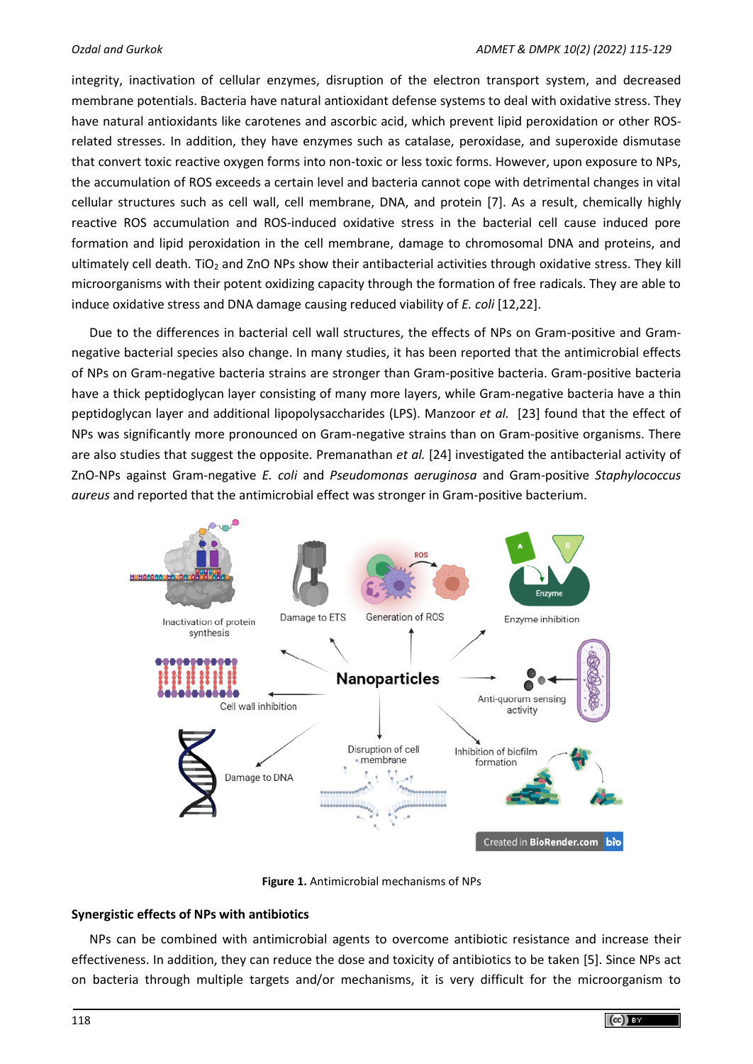integrity, inactivation of cellular enzymes, disruption of the electron transport system, and decreased membrane potentials. Bacteria have natural antioxidant defense systems to deal with oxidative stress. They have natural antioxidants like carotenes and ascorbic acid, which prevent lipid peroxidation or other ROSrelated stresses. In addition, they have enzymes such as catalase, peroxidase, and superoxide dismutase that convert toxic reactive oxygen forms into non-toxic or less toxic forms. However, upon exposure to NPs, the accumulation of ROS exceeds a certain level and bacteria cannot cope with detrimental changes in vital cellular structures such as cell wall, cell membrane, DNA, and protein [7]. As a result, chemically highly reactive ROS accumulation and ROS-induced oxidative stress in the bacterial cell cause induced pore formation and lipid peroxidation in the cell membrane, damage to chromosomal DNA and proteins, and ultimately cell death. TiO<sub>2</sub> and ZnO NPs show their antibacterial activities through oxidative stress. They kill microorganisms with their potent oxidizing capacity through the formation of free radicals. They are able to induce oxidative stress and DNA damage causing reduced viability of *E. coli* [12,22].

Due to the differences in bacterial cell wall structures, the effects of NPs on Gram-positive and Gramnegative bacterial species also change. In many studies, it has been reported that the antimicrobial effects of NPs on Gram-negative bacteria strains are stronger than Gram-positive bacteria. Gram-positive bacteria have a thick peptidoglycan layer consisting of many more layers, while Gram-negative bacteria have a thin peptidoglycan layer and additional lipopolysaccharides (LPS). Manzoor *et al.* [23] found that the effect of NPs was significantly more pronounced on Gram-negative strains than on Gram-positive organisms. There are also studies that suggest the opposite. Premanathan *et al.* [24] investigated the antibacterial activity of ZnO-NPs against Gram-negative *E. coli* and *Pseudomonas aeruginosa* and Gram-positive *Staphylococcus aureus* and reported that the antimicrobial effect was stronger in Gram-positive bacterium.



**Figure 1.** Antimicrobial mechanisms of NPs

# **Synergistic effects of NPs with antibiotics**

NPs can be combined with antimicrobial agents to overcome antibiotic resistance and increase their effectiveness. In addition, they can reduce the dose and toxicity of antibiotics to be taken [5]. Since NPs act on bacteria through multiple targets and/or mechanisms, it is very difficult for the microorganism to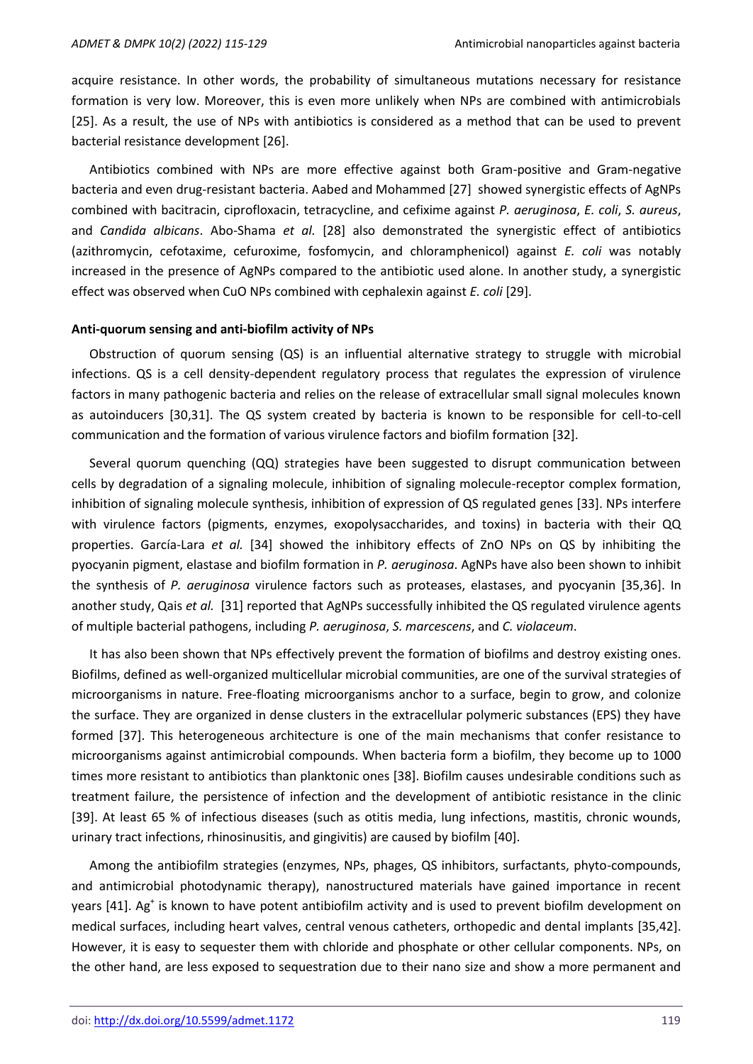acquire resistance. In other words, the probability of simultaneous mutations necessary for resistance formation is very low. Moreover, this is even more unlikely when NPs are combined with antimicrobials [25]. As a result, the use of NPs with antibiotics is considered as a method that can be used to prevent bacterial resistance development [26].

Antibiotics combined with NPs are more effective against both Gram-positive and Gram-negative bacteria and even drug-resistant bacteria. Aabed and Mohammed [27] showed synergistic effects of AgNPs combined with bacitracin, ciprofloxacin, tetracycline, and cefixime against *P. aeruginosa*, *E. coli*, *S. aureus*, and *Candida albicans*. Abo-Shama *et al.* [28] also demonstrated the synergistic effect of antibiotics (azithromycin, cefotaxime, cefuroxime, fosfomycin, and chloramphenicol) against *E. coli* was notably increased in the presence of AgNPs compared to the antibiotic used alone. In another study, a synergistic effect was observed when CuO NPs combined with cephalexin against *E. coli* [29].

#### **Anti-quorum sensing and anti-biofilm activity of NPs**

Obstruction of quorum sensing (QS) is an influential alternative strategy to struggle with microbial infections. QS is a cell density-dependent regulatory process that regulates the expression of virulence factors in many pathogenic bacteria and relies on the release of extracellular small signal molecules known as autoinducers [30,31]. The QS system created by bacteria is known to be responsible for cell-to-cell communication and the formation of various virulence factors and biofilm formation [32].

Several quorum quenching (QQ) strategies have been suggested to disrupt communication between cells by degradation of a signaling molecule, inhibition of signaling molecule-receptor complex formation, inhibition of signaling molecule synthesis, inhibition of expression of QS regulated genes [33]. NPs interfere with virulence factors (pigments, enzymes, exopolysaccharides, and toxins) in bacteria with their QQ properties. García-Lara *et al.* [34] showed the inhibitory effects of ZnO NPs on QS by inhibiting the pyocyanin pigment, elastase and biofilm formation in *P. aeruginosa*. AgNPs have also been shown to inhibit the synthesis of *P. aeruginosa* virulence factors such as proteases, elastases, and pyocyanin [35,36]. In another study, Qais *et al.* [31] reported that AgNPs successfully inhibited the QS regulated virulence agents of multiple bacterial pathogens, including *P. aeruginosa*, *S. marcescens*, and *C. violaceum*.

It has also been shown that NPs effectively prevent the formation of biofilms and destroy existing ones. Biofilms, defined as well-organized multicellular microbial communities, are one of the survival strategies of microorganisms in nature. Free-floating microorganisms anchor to a surface, begin to grow, and colonize the surface. They are organized in dense clusters in the extracellular polymeric substances (EPS) they have formed [37]. This heterogeneous architecture is one of the main mechanisms that confer resistance to microorganisms against antimicrobial compounds. When bacteria form a biofilm, they become up to 1000 times more resistant to antibiotics than planktonic ones [38]. Biofilm causes undesirable conditions such as treatment failure, the persistence of infection and the development of antibiotic resistance in the clinic [39]. At least 65 % of infectious diseases (such as otitis media, lung infections, mastitis, chronic wounds, urinary tract infections, rhinosinusitis, and gingivitis) are caused by biofilm [40].

Among the antibiofilm strategies (enzymes, NPs, phages, QS inhibitors, surfactants, phyto-compounds, and antimicrobial photodynamic therapy), nanostructured materials have gained importance in recent years [41]. Ag<sup>+</sup> is known to have potent antibiofilm activity and is used to prevent biofilm development on medical surfaces, including heart valves, central venous catheters, orthopedic and dental implants [35,42]. However, it is easy to sequester them with chloride and phosphate or other cellular components. NPs, on the other hand, are less exposed to sequestration due to their nano size and show a more permanent and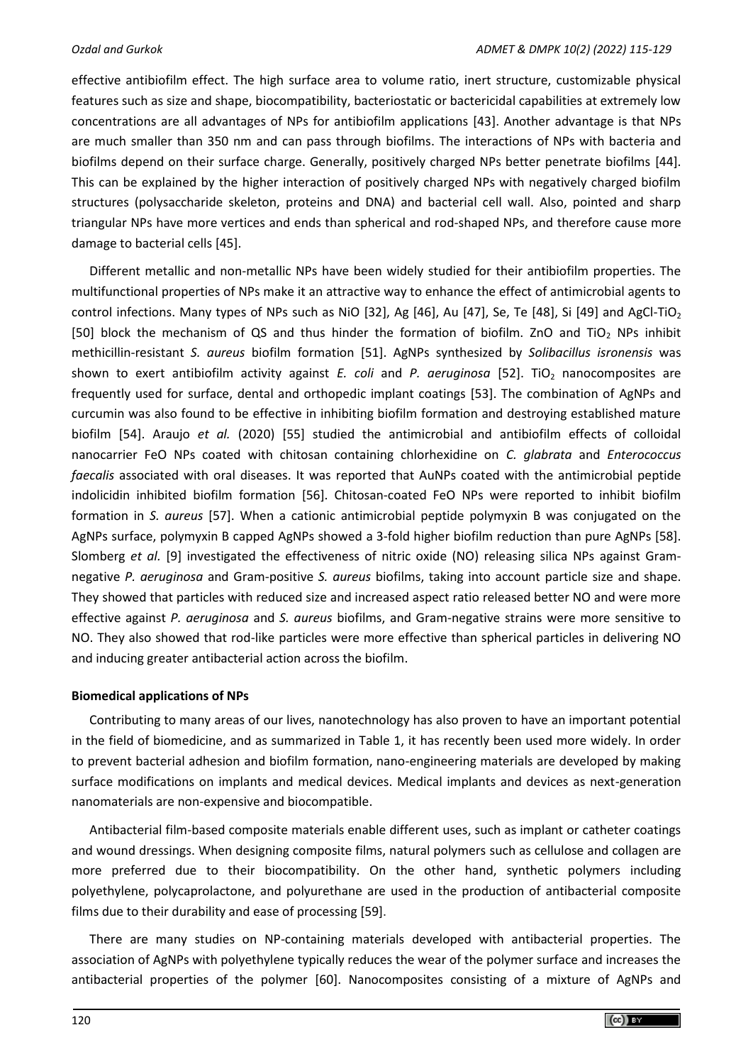effective antibiofilm effect. The high surface area to volume ratio, inert structure, customizable physical features such as size and shape, biocompatibility, bacteriostatic or bactericidal capabilities at extremely low concentrations are all advantages of NPs for antibiofilm applications [43]. Another advantage is that NPs are much smaller than 350 nm and can pass through biofilms. The interactions of NPs with bacteria and biofilms depend on their surface charge. Generally, positively charged NPs better penetrate biofilms [44]. This can be explained by the higher interaction of positively charged NPs with negatively charged biofilm structures (polysaccharide skeleton, proteins and DNA) and bacterial cell wall. Also, pointed and sharp triangular NPs have more vertices and ends than spherical and rod-shaped NPs, and therefore cause more damage to bacterial cells [45].

Different metallic and non-metallic NPs have been widely studied for their antibiofilm properties. The multifunctional properties of NPs make it an attractive way to enhance the effect of antimicrobial agents to control infections. Many types of NPs such as NiO [32], Ag [46], Au [47], Se, Te [48], Si [49] and AgCl-TiO<sub>2</sub> [50] block the mechanism of QS and thus hinder the formation of biofilm. ZnO and TiO<sub>2</sub> NPs inhibit methicillin-resistant *S. aureus* biofilm formation [51]. AgNPs synthesized by *Solibacillus isronensis* was shown to exert antibiofilm activity against *E. coli* and *P. aeruginosa* [52]. TiO<sub>2</sub> nanocomposites are frequently used for surface, dental and orthopedic implant coatings [53]. The combination of AgNPs and curcumin was also found to be effective in inhibiting biofilm formation and destroying established mature biofilm [54]. Araujo *et al.* (2020) [55] studied the antimicrobial and antibiofilm effects of colloidal nanocarrier FeO NPs coated with chitosan containing chlorhexidine on *C. glabrata* and *Enterococcus faecalis* associated with oral diseases. It was reported that AuNPs coated with the antimicrobial peptide indolicidin inhibited biofilm formation [56]. Chitosan-coated FeO NPs were reported to inhibit biofilm formation in *S. aureus* [57]. When a cationic antimicrobial peptide polymyxin B was conjugated on the AgNPs surface, polymyxin B capped AgNPs showed a 3-fold higher biofilm reduction than pure AgNPs [58]. Slomberg *et al.* [9] investigated the effectiveness of nitric oxide (NO) releasing silica NPs against Gramnegative *P. aeruginosa* and Gram-positive *S. aureus* biofilms, taking into account particle size and shape. They showed that particles with reduced size and increased aspect ratio released better NO and were more effective against *P. aeruginosa* and *S. aureus* biofilms, and Gram-negative strains were more sensitive to NO. They also showed that rod-like particles were more effective than spherical particles in delivering NO and inducing greater antibacterial action across the biofilm.

# **Biomedical applications of NPs**

Contributing to many areas of our lives, nanotechnology has also proven to have an important potential in the field of biomedicine, and as summarized in Table 1, it has recently been used more widely. In order to prevent bacterial adhesion and biofilm formation, nano-engineering materials are developed by making surface modifications on implants and medical devices. Medical implants and devices as next-generation nanomaterials are non-expensive and biocompatible.

Antibacterial film-based composite materials enable different uses, such as implant or catheter coatings and wound dressings. When designing composite films, natural polymers such as cellulose and collagen are more preferred due to their biocompatibility. On the other hand, synthetic polymers including polyethylene, polycaprolactone, and polyurethane are used in the production of antibacterial composite films due to their durability and ease of processing [59].

There are many studies on NP-containing materials developed with antibacterial properties. The association of AgNPs with polyethylene typically reduces the wear of the polymer surface and increases the antibacterial properties of the polymer [60]. Nanocomposites consisting of a mixture of AgNPs and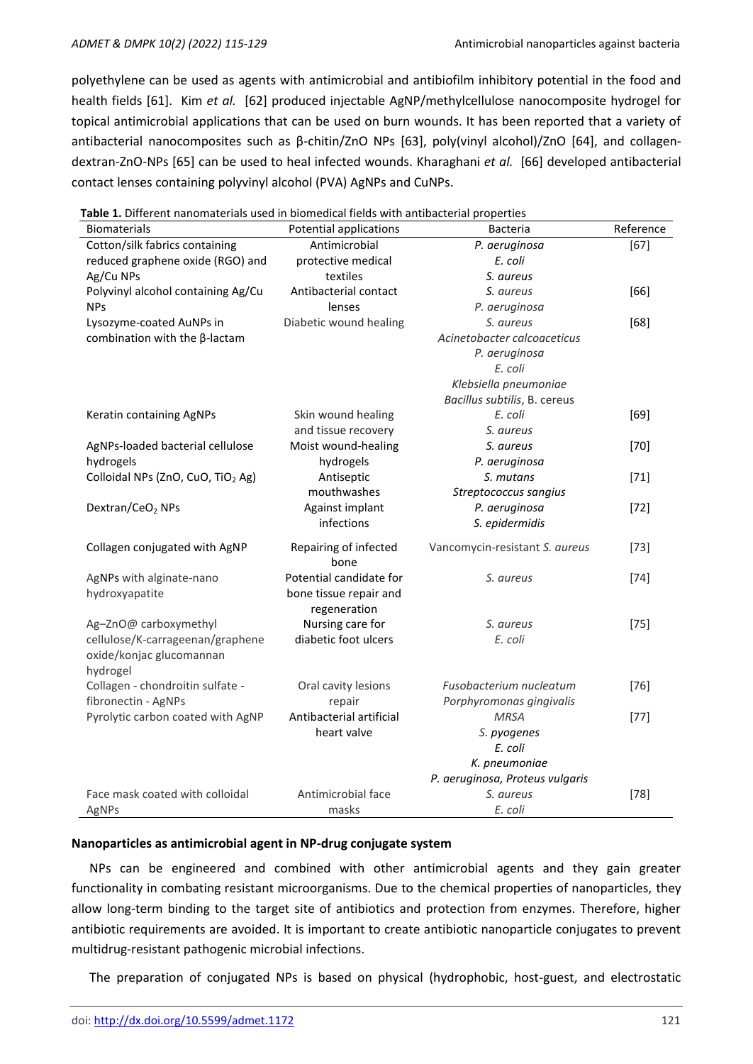polyethylene can be used as agents with antimicrobial and antibiofilm inhibitory potential in the food and health fields [61]. Kim *et al.* [62] produced injectable AgNP/methylcellulose nanocomposite hydrogel for topical antimicrobial applications that can be used on burn wounds. It has been reported that a variety of antibacterial nanocomposites such as β-chitin/ZnO NPs [63], poly(vinyl alcohol)/ZnO [64], and collagendextran-ZnO-NPs [65] can be used to heal infected wounds. Kharaghani *et al.* [66] developed antibacterial contact lenses containing polyvinyl alcohol (PVA) AgNPs and CuNPs.

| <b>Biomaterials</b>                           | <b>Potential applications</b> | <b>Bacteria</b>                 | Reference |
|-----------------------------------------------|-------------------------------|---------------------------------|-----------|
| Cotton/silk fabrics containing                | Antimicrobial                 | P. aeruginosa                   | $[67]$    |
| reduced graphene oxide (RGO) and              | protective medical            | E. coli                         |           |
| Ag/Cu NPs                                     | textiles                      | S. aureus                       |           |
| Polyvinyl alcohol containing Ag/Cu            | Antibacterial contact         | S. aureus                       | $[66]$    |
| <b>NPs</b>                                    | lenses                        | P. aeruginosa                   |           |
| Lysozyme-coated AuNPs in                      | Diabetic wound healing        | S. aureus                       | [68]      |
| combination with the $\beta$ -lactam          |                               | Acinetobacter calcoaceticus     |           |
|                                               |                               | P. aeruginosa                   |           |
|                                               |                               | E. coli                         |           |
|                                               |                               | Klebsiella pneumoniae           |           |
|                                               |                               | Bacillus subtilis, B. cereus    |           |
| Keratin containing AgNPs                      | Skin wound healing            | E. coli                         | $[69]$    |
|                                               | and tissue recovery           | S. aureus                       |           |
| AgNPs-loaded bacterial cellulose              | Moist wound-healing           | S. aureus                       | $[70]$    |
| hydrogels                                     | hydrogels                     | P. aeruginosa                   |           |
| Colloidal NPs (ZnO, CuO, TiO <sub>2</sub> Ag) | Antiseptic                    | S. mutans                       | $[71]$    |
|                                               | mouthwashes                   | Streptococcus sangius           |           |
| Dextran/CeO <sub>2</sub> NPs                  | Against implant               | P. aeruginosa                   | $[72]$    |
|                                               | infections                    | S. epidermidis                  |           |
| Collagen conjugated with AgNP                 | Repairing of infected<br>bone | Vancomycin-resistant S. aureus  | $[73]$    |
| AgNPs with alginate-nano                      | Potential candidate for       | S. aureus                       | $[74]$    |
| hydroxyapatite                                | bone tissue repair and        |                                 |           |
|                                               | regeneration                  |                                 |           |
| Ag-ZnO@ carboxymethyl                         | Nursing care for              | S. aureus                       | $[75]$    |
| cellulose/K-carrageenan/graphene              | diabetic foot ulcers          | E. coli                         |           |
| oxide/konjac glucomannan                      |                               |                                 |           |
| hydrogel                                      |                               |                                 |           |
| Collagen - chondroitin sulfate -              | Oral cavity lesions           | Fusobacterium nucleatum         | $[76]$    |
| fibronectin - AgNPs                           | repair                        | Porphyromonas gingivalis        |           |
| Pyrolytic carbon coated with AgNP             | Antibacterial artificial      | <b>MRSA</b>                     | $[77]$    |
|                                               | heart valve                   | S. pyogenes                     |           |
|                                               |                               | E. coli                         |           |
|                                               |                               | K. pneumoniae                   |           |
|                                               |                               | P. aeruginosa, Proteus vulgaris |           |
| Face mask coated with colloidal               | Antimicrobial face            | S. aureus                       | $[78]$    |
| AgNPs                                         | masks                         | E. coli                         |           |

**Table 1.** Different nanomaterials used in biomedical fields with antibacterial properties

#### **Nanoparticles as antimicrobial agent in NP-drug conjugate system**

NPs can be engineered and combined with other antimicrobial agents and they gain greater functionality in combating resistant microorganisms. Due to the chemical properties of nanoparticles, they allow long-term binding to the target site of antibiotics and protection from enzymes. Therefore, higher antibiotic requirements are avoided. It is important to create antibiotic nanoparticle conjugates to prevent multidrug-resistant pathogenic microbial infections.

The preparation of conjugated NPs is based on physical (hydrophobic, host-guest, and electrostatic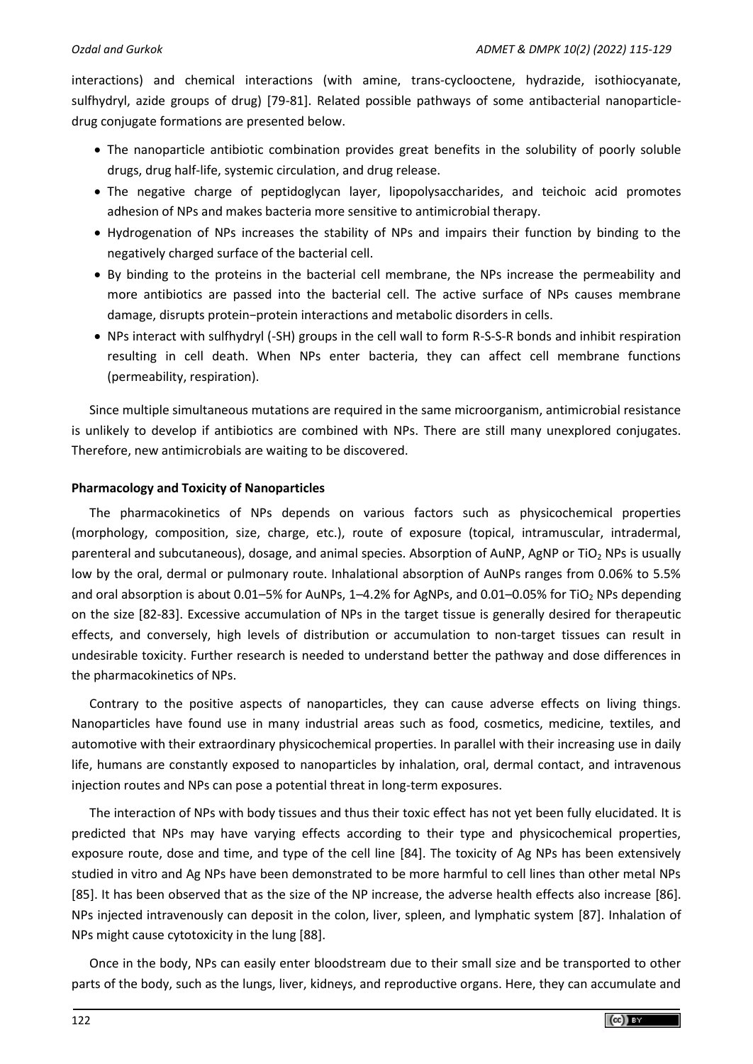interactions) and chemical interactions (with amine, trans-cyclooctene, hydrazide, isothiocyanate, sulfhydryl, azide groups of drug) [79-81]. Related possible pathways of some antibacterial nanoparticledrug conjugate formations are presented below.

- The nanoparticle antibiotic combination provides great benefits in the solubility of poorly soluble drugs, drug half-life, systemic circulation, and drug release.
- The negative charge of peptidoglycan layer, lipopolysaccharides, and teichoic acid promotes adhesion of NPs and makes bacteria more sensitive to antimicrobial therapy.
- Hydrogenation of NPs increases the stability of NPs and impairs their function by binding to the negatively charged surface of the bacterial cell.
- By binding to the proteins in the bacterial cell membrane, the NPs increase the permeability and more antibiotics are passed into the bacterial cell. The active surface of NPs causes membrane damage, disrupts protein−protein interactions and metabolic disorders in cells.
- NPs interact with sulfhydryl (-SH) groups in the cell wall to form R-S-S-R bonds and inhibit respiration resulting in cell death. When NPs enter bacteria, they can affect cell membrane functions (permeability, respiration).

Since multiple simultaneous mutations are required in the same microorganism, antimicrobial resistance is unlikely to develop if antibiotics are combined with NPs. There are still many unexplored conjugates. Therefore, new antimicrobials are waiting to be discovered.

# **Pharmacology and Toxicity of Nanoparticles**

The pharmacokinetics of NPs depends on various factors such as physicochemical properties (morphology, composition, size, charge, etc.), route of exposure (topical, intramuscular, intradermal, parenteral and subcutaneous), dosage, and animal species. Absorption of AuNP, AgNP or TiO<sub>2</sub> NPs is usually low by the oral, dermal or pulmonary route. Inhalational absorption of AuNPs ranges from 0.06% to 5.5% and oral absorption is about 0.01–5% for AuNPs, 1–4.2% for AgNPs, and 0.01–0.05% for TiO<sub>2</sub> NPs depending on the size [82-83]. Excessive accumulation of NPs in the target tissue is generally desired for therapeutic effects, and conversely, high levels of distribution or accumulation to non-target tissues can result in undesirable toxicity. Further research is needed to understand better the pathway and dose differences in the pharmacokinetics of NPs.

Contrary to the positive aspects of nanoparticles, they can cause adverse effects on living things. Nanoparticles have found use in many industrial areas such as food, cosmetics, medicine, textiles, and automotive with their extraordinary physicochemical properties. In parallel with their increasing use in daily life, humans are constantly exposed to nanoparticles by inhalation, oral, dermal contact, and intravenous injection routes and NPs can pose a potential threat in long-term exposures.

The interaction of NPs with body tissues and thus their toxic effect has not yet been fully elucidated. It is predicted that NPs may have varying effects according to their type and physicochemical properties, exposure route, dose and time, and type of the cell line [84]. The toxicity of Ag NPs has been extensively studied in vitro and Ag NPs have been demonstrated to be more harmful to cell lines than other metal NPs [85]. It has been observed that as the size of the NP increase, the adverse health effects also increase [86]. NPs injected intravenously can deposit in the colon, liver, spleen, and lymphatic system [87]. Inhalation of NPs might cause cytotoxicity in the lung [88].

Once in the body, NPs can easily enter bloodstream due to their small size and be transported to other parts of the body, such as the lungs, liver, kidneys, and reproductive organs. Here, they can accumulate and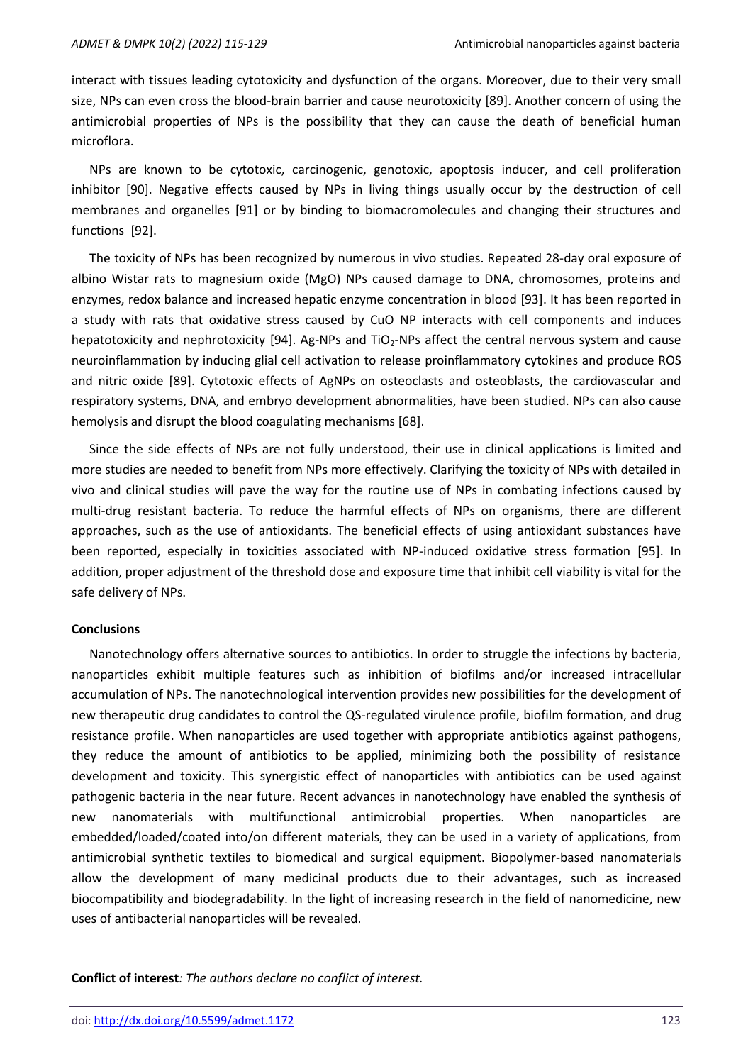interact with tissues leading cytotoxicity and dysfunction of the organs. Moreover, due to their very small size, NPs can even cross the blood-brain barrier and cause neurotoxicity [89]. Another concern of using the antimicrobial properties of NPs is the possibility that they can cause the death of beneficial human microflora.

NPs are known to be cytotoxic, carcinogenic, genotoxic, apoptosis inducer, and cell proliferation inhibitor [90]. Negative effects caused by NPs in living things usually occur by the destruction of cell membranes and organelles [91] or by binding to biomacromolecules and changing their structures and functions [92].

The toxicity of NPs has been recognized by numerous in vivo studies. Repeated 28‐day oral exposure of albino Wistar rats to magnesium oxide (MgO) NPs caused damage to DNA, chromosomes, proteins and enzymes, redox balance and increased hepatic enzyme concentration in blood [93]. It has been reported in a study with rats that oxidative stress caused by CuO NP interacts with cell components and induces hepatotoxicity and nephrotoxicity [94]. Ag-NPs and  $TiO<sub>2</sub>$ -NPs affect the central nervous system and cause neuroinflammation by inducing glial cell activation to release proinflammatory cytokines and produce ROS and nitric oxide [89]. Cytotoxic effects of AgNPs on osteoclasts and osteoblasts, the cardiovascular and respiratory systems, DNA, and embryo development abnormalities, have been studied. NPs can also cause hemolysis and disrupt the blood coagulating mechanisms [68].

Since the side effects of NPs are not fully understood, their use in clinical applications is limited and more studies are needed to benefit from NPs more effectively. Clarifying the toxicity of NPs with detailed in vivo and clinical studies will pave the way for the routine use of NPs in combating infections caused by multi-drug resistant bacteria. To reduce the harmful effects of NPs on organisms, there are different approaches, such as the use of antioxidants. The beneficial effects of using antioxidant substances have been reported, especially in toxicities associated with NP-induced oxidative stress formation [95]. In addition, proper adjustment of the threshold dose and exposure time that inhibit cell viability is vital for the safe delivery of NPs.

#### **Conclusions**

Nanotechnology offers alternative sources to antibiotics. In order to struggle the infections by bacteria, nanoparticles exhibit multiple features such as inhibition of biofilms and/or increased intracellular accumulation of NPs. The nanotechnological intervention provides new possibilities for the development of new therapeutic drug candidates to control the QS-regulated virulence profile, biofilm formation, and drug resistance profile. When nanoparticles are used together with appropriate antibiotics against pathogens, they reduce the amount of antibiotics to be applied, minimizing both the possibility of resistance development and toxicity. This synergistic effect of nanoparticles with antibiotics can be used against pathogenic bacteria in the near future. Recent advances in nanotechnology have enabled the synthesis of new nanomaterials with multifunctional antimicrobial properties. When nanoparticles are embedded/loaded/coated into/on different materials, they can be used in a variety of applications, from antimicrobial synthetic textiles to biomedical and surgical equipment. Biopolymer-based nanomaterials allow the development of many medicinal products due to their advantages, such as increased biocompatibility and biodegradability. In the light of increasing research in the field of nanomedicine, new uses of antibacterial nanoparticles will be revealed.

**Conflict of interest***: The authors declare no conflict of interest.*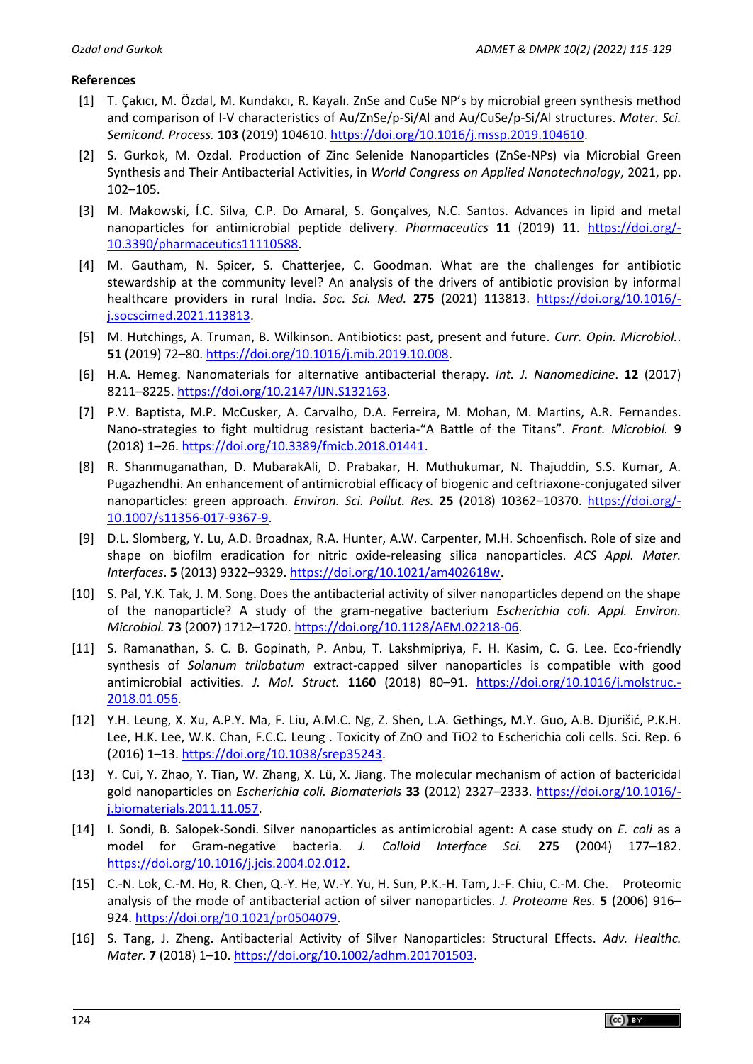# **References**

- [1] T. Çakıcı, M. Özdal, M. Kundakcı, R. Kayalı. ZnSe and CuSe NP's by microbial green synthesis method and comparison of I-V characteristics of Au/ZnSe/p-Si/Al and Au/CuSe/p-Si/Al structures. *Mater. Sci. Semicond. Process.* **103** (2019) 104610. [https://doi.org/10.1016/j.mssp.2019.104610.](https://doi.org/10.1016/j.mssp.2019.104610)
- [2] S. Gurkok, M. Ozdal. Production of Zinc Selenide Nanoparticles (ZnSe-NPs) via Microbial Green Synthesis and Their Antibacterial Activities, in *World Congress on Applied Nanotechnology*, 2021, pp. 102–105.
- [3] M. Makowski, Í.C. Silva, C.P. Do Amaral, S. Gonçalves, N.C. Santos. Advances in lipid and metal nanoparticles for antimicrobial peptide delivery. *Pharmaceutics* **11** (2019) 11. [https://doi.org/-](https://doi.org/10.3390/pharmaceutics11110588) [10.3390/pharmaceutics11110588.](https://doi.org/10.3390/pharmaceutics11110588)
- [4] M. Gautham, N. Spicer, S. Chatterjee, C. Goodman. What are the challenges for antibiotic stewardship at the community level? An analysis of the drivers of antibiotic provision by informal healthcare providers in rural India. *Soc. Sci. Med.* **275** (2021) 113813. [https://doi.org/10.1016/](https://doi.org/10.1016/j.socscimed.2021.113813) [j.socscimed.2021.113813.](https://doi.org/10.1016/j.socscimed.2021.113813)
- [5] M. Hutchings, A. Truman, B. Wilkinson. Antibiotics: past, present and future. *Curr. Opin. Microbiol.*. **51** (2019) 72–80. [https://doi.org/10.1016/j.mib.2019.10.008.](https://doi.org/10.1016/j.mib.2019.10.008)
- [6] H.A. Hemeg. Nanomaterials for alternative antibacterial therapy. *Int. J. Nanomedicine*. **12** (2017) 8211–8225. [https://doi.org/10.2147/IJN.S132163.](https://doi.org/10.2147/IJN.S132163)
- [7] P.V. Baptista, M.P. McCusker, A. Carvalho, D.A. Ferreira, M. Mohan, M. Martins, A.R. Fernandes. Nano-strategies to fight multidrug resistant bacteria-"A Battle of the Titans". *Front. Microbiol.* **9** (2018) 1–26. [https://doi.org/10.3389/fmicb.2018.01441.](https://doi.org/10.3389/fmicb.2018.01441)
- [8] R. Shanmuganathan, D. MubarakAli, D. Prabakar, H. Muthukumar, N. Thajuddin, S.S. Kumar, A. Pugazhendhi. An enhancement of antimicrobial efficacy of biogenic and ceftriaxone-conjugated silver nanoparticles: green approach. *Environ. Sci. Pollut. Res.* **25** (2018) 10362–10370. [https://doi.org/-](https://doi.org/10.1007/s11356-017-9367-9) [10.1007/s11356-017-9367-9.](https://doi.org/10.1007/s11356-017-9367-9)
- [9] D.L. Slomberg, Y. Lu, A.D. Broadnax, R.A. Hunter, A.W. Carpenter, M.H. Schoenfisch. Role of size and shape on biofilm eradication for nitric oxide-releasing silica nanoparticles. *ACS Appl. Mater. Interfaces*. **5** (2013) 9322–9329. [https://doi.org/10.1021/am402618w.](https://doi.org/10.1021/am402618w)
- [10] S. Pal, Y.K. Tak, J. M. Song. Does the antibacterial activity of silver nanoparticles depend on the shape of the nanoparticle? A study of the gram-negative bacterium *Escherichia coli*. *Appl. Environ. Microbiol.* **73** (2007) 1712–1720. [https://doi.org/10.1128/AEM.02218-06.](https://doi.org/10.1128/AEM.02218-06)
- [11] S. Ramanathan, S. C. B. Gopinath, P. Anbu, T. Lakshmipriya, F. H. Kasim, C. G. Lee. Eco-friendly synthesis of *Solanum trilobatum* extract-capped silver nanoparticles is compatible with good antimicrobial activities. *J. Mol. Struct.* **1160** (2018) 80–91. [https://doi.org/10.1016/j.molstruc.-](https://doi.org/10.1016/j.molstruc.2018.01.056) [2018.01.056.](https://doi.org/10.1016/j.molstruc.2018.01.056)
- [12] Y.H. Leung, X. Xu, A.P.Y. Ma, F. Liu, A.M.C. Ng, Z. Shen, L.A. Gethings, M.Y. Guo, A.B. Djurišić, P.K.H. Lee, H.K. Lee, W.K. Chan, F.C.C. Leung . Toxicity of ZnO and TiO2 to Escherichia coli cells. Sci. Rep. 6 (2016) 1–13. [https://doi.org/10.1038/srep35243.](https://doi.org/10.1038/srep35243)
- [13] Y. Cui, Y. Zhao, Y. Tian, W. Zhang, X. Lü, X. Jiang. The molecular mechanism of action of bactericidal gold nanoparticles on *Escherichia coli. Biomaterials* **33** (2012) 2327–2333. [https://doi.org/10.1016/](https://doi.org/10.1016/j.biomaterials.2011.11.057) [j.biomaterials.2011.11.057.](https://doi.org/10.1016/j.biomaterials.2011.11.057)
- [14] I. Sondi, B. Salopek-Sondi. Silver nanoparticles as antimicrobial agent: A case study on *E. coli* as a model for Gram-negative bacteria. *J. Colloid Interface Sci.* **275** (2004) 177–182. [https://doi.org/10.1016/j.jcis.2004.02.012.](https://doi.org/10.1016/j.jcis.2004.02.012)
- [15] C.-N. Lok, C.-M. Ho, R. Chen, Q.-Y. He, W.-Y. Yu, H. Sun, P.K.-H. Tam, J.-F. Chiu, C.-M. Che. Proteomic analysis of the mode of antibacterial action of silver nanoparticles. *J. Proteome Res.* **5** (2006) 916– 924. [https://doi.org/10.1021/pr0504079.](https://doi.org/10.1021/pr0504079)
- [16] S. Tang, J. Zheng. Antibacterial Activity of Silver Nanoparticles: Structural Effects. *Adv. Healthc. Mater.* **7** (2018) 1–10. [https://doi.org/10.1002/adhm.201701503.](https://doi.org/10.1002/adhm.201701503)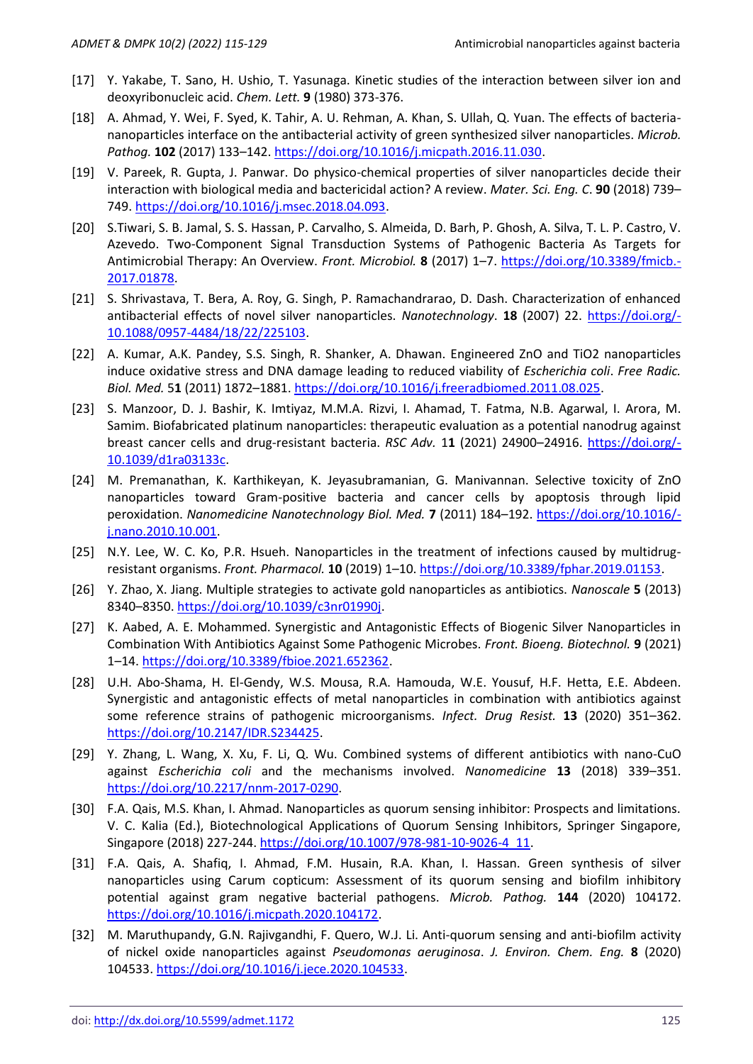- [17] Y. Yakabe, T. Sano, H. Ushio, T. Yasunaga. Kinetic studies of the interaction between silver ion and deoxyribonucleic acid. *Chem. Lett.* **9** (1980) 373-376.
- [18] A. Ahmad, Y. Wei, F. Syed, K. Tahir, A. U. Rehman, A. Khan, S. Ullah, Q. Yuan. The effects of bacteriananoparticles interface on the antibacterial activity of green synthesized silver nanoparticles. *Microb. Pathog.* **102** (2017) 133–142. [https://doi.org/10.1016/j.micpath.2016.11.030.](https://doi.org/10.1016/j.micpath.2016.11.030)
- [19] V. Pareek, R. Gupta, J. Panwar. Do physico-chemical properties of silver nanoparticles decide their interaction with biological media and bactericidal action? A review. *Mater. Sci. Eng. C*. **90** (2018) 739– 749. [https://doi.org/10.1016/j.msec.2018.04.093.](https://doi.org/10.1016/j.msec.2018.04.093)
- [20] S.Tiwari, S. B. Jamal, S. S. Hassan, P. Carvalho, S. Almeida, D. Barh, P. Ghosh, A. Silva, T. L. P. Castro, V. Azevedo. Two-Component Signal Transduction Systems of Pathogenic Bacteria As Targets for Antimicrobial Therapy: An Overview. *Front. Microbiol.* **8** (2017) 1–7. [https://doi.org/10.3389/fmicb.-](https://doi.org/10.3389/fmicb.2017.01878) [2017.01878.](https://doi.org/10.3389/fmicb.2017.01878)
- [21] S. Shrivastava, T. Bera, A. Roy, G. Singh, P. Ramachandrarao, D. Dash. Characterization of enhanced antibacterial effects of novel silver nanoparticles. *Nanotechnology*. **18** (2007) 22. [https://doi.org/-](https://doi.org/10.1088/0957-4484/18/22/225103) [10.1088/0957-4484/18/22/225103.](https://doi.org/10.1088/0957-4484/18/22/225103)
- [22] A. Kumar, A.K. Pandey, S.S. Singh, R. Shanker, A. Dhawan. Engineered ZnO and TiO2 nanoparticles induce oxidative stress and DNA damage leading to reduced viability of *Escherichia coli*. *Free Radic. Biol. Med.* 5**1** (2011) 1872–1881. [https://doi.org/10.1016/j.freeradbiomed.2011.08.025.](https://doi.org/10.1016/j.freeradbiomed.2011.08.025)
- [23] S. Manzoor, D. J. Bashir, K. Imtiyaz, M.M.A. Rizvi, I. Ahamad, T. Fatma, N.B. Agarwal, I. Arora, M. Samim. Biofabricated platinum nanoparticles: therapeutic evaluation as a potential nanodrug against breast cancer cells and drug-resistant bacteria. *RSC Adv.* 1**1** (2021) 24900–24916. [https://doi.org/-](https://doi.org/10.1039/d1ra03133c) [10.1039/d1ra03133c.](https://doi.org/10.1039/d1ra03133c)
- [24] M. Premanathan, K. Karthikeyan, K. Jeyasubramanian, G. Manivannan. Selective toxicity of ZnO nanoparticles toward Gram-positive bacteria and cancer cells by apoptosis through lipid peroxidation. *Nanomedicine Nanotechnology Biol. Med.* **7** (2011) 184–192. [https://doi.org/10.1016/](https://doi.org/10.1016/j.nano.2010.10.001) [j.nano.2010.10.001.](https://doi.org/10.1016/j.nano.2010.10.001)
- [25] N.Y. Lee, W. C. Ko, P.R. Hsueh. Nanoparticles in the treatment of infections caused by multidrugresistant organisms. *Front. Pharmacol.* **10** (2019) 1–10. [https://doi.org/10.3389/fphar.2019.01153.](https://doi.org/10.3389/fphar.2019.01153)
- [26] Y. Zhao, X. Jiang. Multiple strategies to activate gold nanoparticles as antibiotics. *Nanoscale* **5** (2013) 8340–8350. [https://doi.org/10.1039/c3nr01990j.](https://doi.org/10.1039/c3nr01990j)
- [27] K. Aabed, A. E. Mohammed. Synergistic and Antagonistic Effects of Biogenic Silver Nanoparticles in Combination With Antibiotics Against Some Pathogenic Microbes. *Front. Bioeng. Biotechnol.* **9** (2021) 1–14[. https://doi.org/10.3389/fbioe.2021.652362.](https://doi.org/10.3389/fbioe.2021.652362)
- [28] U.H. Abo-Shama, H. El-Gendy, W.S. Mousa, R.A. Hamouda, W.E. Yousuf, H.F. Hetta, E.E. Abdeen. Synergistic and antagonistic effects of metal nanoparticles in combination with antibiotics against some reference strains of pathogenic microorganisms. *Infect. Drug Resist.* **13** (2020) 351–362. [https://doi.org/10.2147/IDR.S234425.](https://doi.org/10.2147/IDR.S234425)
- [29] Y. Zhang, L. Wang, X. Xu, F. Li, Q. Wu. Combined systems of different antibiotics with nano-CuO against *Escherichia coli* and the mechanisms involved. *Nanomedicine* **13** (2018) 339–351. [https://doi.org/10.2217/nnm-2017-0290.](https://doi.org/10.2217/nnm-2017-0290)
- [30] F.A. Qais, M.S. Khan, I. Ahmad. Nanoparticles as quorum sensing inhibitor: Prospects and limitations. V. C. Kalia (Ed.), Biotechnological Applications of Quorum Sensing Inhibitors, Springer Singapore, Singapore (2018) 227-244. [https://doi.org/10.1007/978-981-10-9026-4\\_11.](https://doi.org/10.1007/978-981-10-9026-4_11)
- [31] F.A. Qais, A. Shafiq, I. Ahmad, F.M. Husain, R.A. Khan, I. Hassan. Green synthesis of silver nanoparticles using Carum copticum: Assessment of its quorum sensing and biofilm inhibitory potential against gram negative bacterial pathogens. *Microb. Pathog.* **144** (2020) 104172. [https://doi.org/10.1016/j.micpath.2020.104172.](https://doi.org/10.1016/j.micpath.2020.104172)
- [32] M. Maruthupandy, G.N. Rajivgandhi, F. Quero, W.J. Li. Anti-quorum sensing and anti-biofilm activity of nickel oxide nanoparticles against *Pseudomonas aeruginosa*. *J. Environ. Chem. Eng.* **8** (2020) 104533. [https://doi.org/10.1016/j.jece.2020.104533.](https://doi.org/10.1016/j.jece.2020.104533)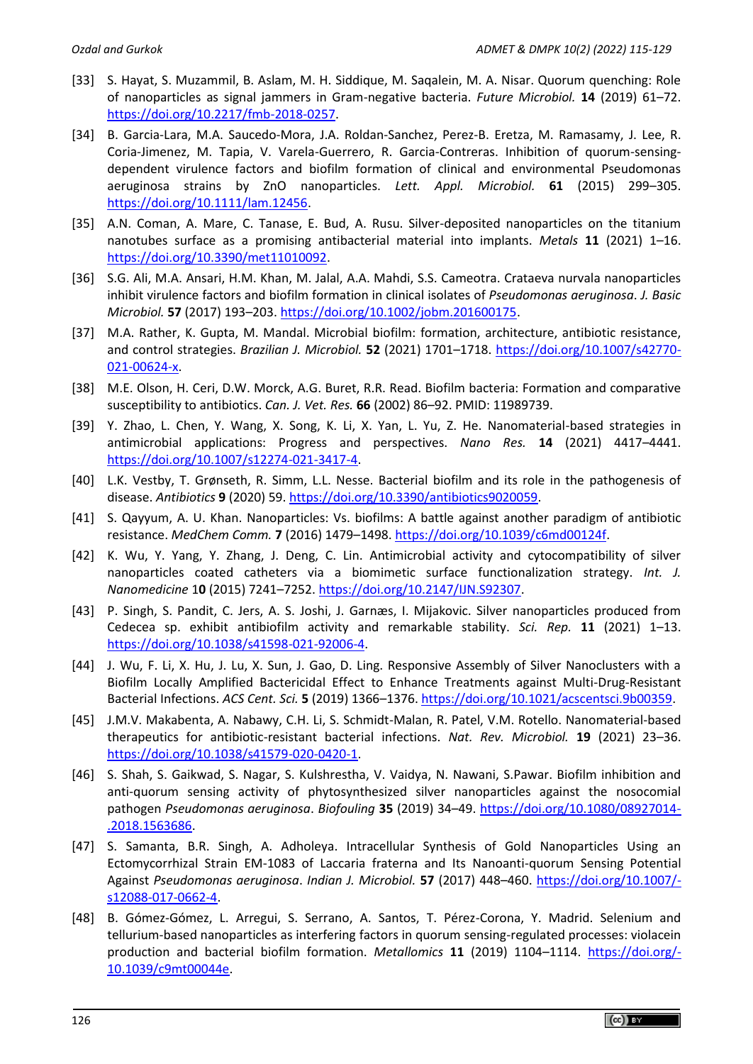- [33] S. Hayat, S. Muzammil, B. Aslam, M. H. Siddique, M. Saqalein, M. A. Nisar. Quorum quenching: Role of nanoparticles as signal jammers in Gram-negative bacteria. *Future Microbiol.* **14** (2019) 61–72. [https://doi.org/10.2217/fmb-2018-0257.](https://doi.org/10.2217/fmb-2018-0257)
- [34] B. Garcia-Lara, M.A. Saucedo-Mora, J.A. Roldan-Sanchez, Perez-B. Eretza, M. Ramasamy, J. Lee, R. Coria-Jimenez, M. Tapia, V. Varela-Guerrero, R. Garcia-Contreras. Inhibition of quorum-sensingdependent virulence factors and biofilm formation of clinical and environmental Pseudomonas aeruginosa strains by ZnO nanoparticles. *Lett. Appl. Microbiol.* **61** (2015) 299–305. [https://doi.org/10.1111/lam.12456.](https://doi.org/10.1111/lam.12456)
- [35] A.N. Coman, A. Mare, C. Tanase, E. Bud, A. Rusu. Silver-deposited nanoparticles on the titanium nanotubes surface as a promising antibacterial material into implants. *Metals* **11** (2021) 1–16. [https://doi.org/10.3390/met11010092.](https://doi.org/10.3390/met11010092)
- [36] S.G. Ali, M.A. Ansari, H.M. Khan, M. Jalal, A.A. Mahdi, S.S. Cameotra. Crataeva nurvala nanoparticles inhibit virulence factors and biofilm formation in clinical isolates of *Pseudomonas aeruginosa*. *J. Basic Microbiol.* **57** (2017) 193–203. [https://doi.org/10.1002/jobm.201600175.](https://doi.org/10.1002/jobm.201600175)
- [37] M.A. Rather, K. Gupta, M. Mandal. Microbial biofilm: formation, architecture, antibiotic resistance, and control strategies. *Brazilian J. Microbiol.* **52** (2021) 1701–1718. [https://doi.org/10.1007/s42770-](https://doi.org/10.1007/s42770-021-00624-x) [021-00624-x.](https://doi.org/10.1007/s42770-021-00624-x)
- [38] M.E. Olson, H. Ceri, D.W. Morck, A.G. Buret, R.R. Read. Biofilm bacteria: Formation and comparative susceptibility to antibiotics. *Can. J. Vet. Res.* **66** (2002) 86–92. PMID: 11989739.
- [39] Y. Zhao, L. Chen, Y. Wang, X. Song, K. Li, X. Yan, L. Yu, Z. He. Nanomaterial-based strategies in antimicrobial applications: Progress and perspectives. *Nano Res.* **14** (2021) 4417–4441. [https://doi.org/10.1007/s12274-021-3417-4.](https://doi.org/10.1007/s12274-021-3417-4)
- [40] L.K. Vestby, T. Grønseth, R. Simm, L.L. Nesse. Bacterial biofilm and its role in the pathogenesis of disease. *Antibiotics* **9** (2020) 59. [https://doi.org/10.3390/antibiotics9020059.](https://doi.org/10.3390/antibiotics9020059)
- [41] S. Qayyum, A. U. Khan. Nanoparticles: Vs. biofilms: A battle against another paradigm of antibiotic resistance. *MedChem Comm.* **7** (2016) 1479–1498[. https://doi.org/10.1039/c6md00124f.](https://doi.org/10.1039/c6md00124f)
- [42] K. Wu, Y. Yang, Y. Zhang, J. Deng, C. Lin. Antimicrobial activity and cytocompatibility of silver nanoparticles coated catheters via a biomimetic surface functionalization strategy. *Int. J. Nanomedicine* 1**0** (2015) 7241–7252. [https://doi.org/10.2147/IJN.S92307.](https://doi.org/10.2147/IJN.S92307)
- [43] P. Singh, S. Pandit, C. Jers, A. S. Joshi, J. Garnæs, I. Mijakovic. Silver nanoparticles produced from Cedecea sp. exhibit antibiofilm activity and remarkable stability. *Sci. Rep.* **11** (2021) 1–13. [https://doi.org/10.1038/s41598-021-92006-4.](https://doi.org/10.1038/s41598-021-92006-4)
- [44] J. Wu, F. Li, X. Hu, J. Lu, X. Sun, J. Gao, D. Ling. Responsive Assembly of Silver Nanoclusters with a Biofilm Locally Amplified Bactericidal Effect to Enhance Treatments against Multi-Drug-Resistant Bacterial Infections. *ACS Cent. Sci.* **5** (2019) 1366–1376[. https://doi.org/10.1021/acscentsci.9b00359.](https://doi.org/10.1021/acscentsci.9b00359)
- [45] J.M.V. Makabenta, A. Nabawy, C.H. Li, S. Schmidt-Malan, R. Patel, V.M. Rotello. Nanomaterial-based therapeutics for antibiotic-resistant bacterial infections. *Nat. Rev. Microbiol.* **19** (2021) 23–36. [https://doi.org/10.1038/s41579-020-0420-1.](https://doi.org/10.1038/s41579-020-0420-1)
- [46] S. Shah, S. Gaikwad, S. Nagar, S. Kulshrestha, V. Vaidya, N. Nawani, S.Pawar. Biofilm inhibition and anti-quorum sensing activity of phytosynthesized silver nanoparticles against the nosocomial pathogen *Pseudomonas aeruginosa*. *Biofouling* **35** (2019) 34–49. [https://doi.org/10.1080/08927014-](https://doi.org/10.1080/08927014.2018.1563686) [.2018.1563686.](https://doi.org/10.1080/08927014.2018.1563686)
- [47] S. Samanta, B.R. Singh, A. Adholeya. Intracellular Synthesis of Gold Nanoparticles Using an Ectomycorrhizal Strain EM-1083 of Laccaria fraterna and Its Nanoanti-quorum Sensing Potential Against *Pseudomonas aeruginosa*. *Indian J. Microbiol.* **57** (2017) 448–460. [https://doi.org/10.1007/](https://doi.org/10.1007/s12088-017-0662-4) [s12088-017-0662-4.](https://doi.org/10.1007/s12088-017-0662-4)
- [48] B. Gómez-Gómez, L. Arregui, S. Serrano, A. Santos, T. Pérez-Corona, Y. Madrid. Selenium and tellurium-based nanoparticles as interfering factors in quorum sensing-regulated processes: violacein production and bacterial biofilm formation. *Metallomics* **11** (2019) 1104–1114. [https://doi.org/-](https://doi.org/10.1039/c9mt00044e) [10.1039/c9mt00044e.](https://doi.org/10.1039/c9mt00044e)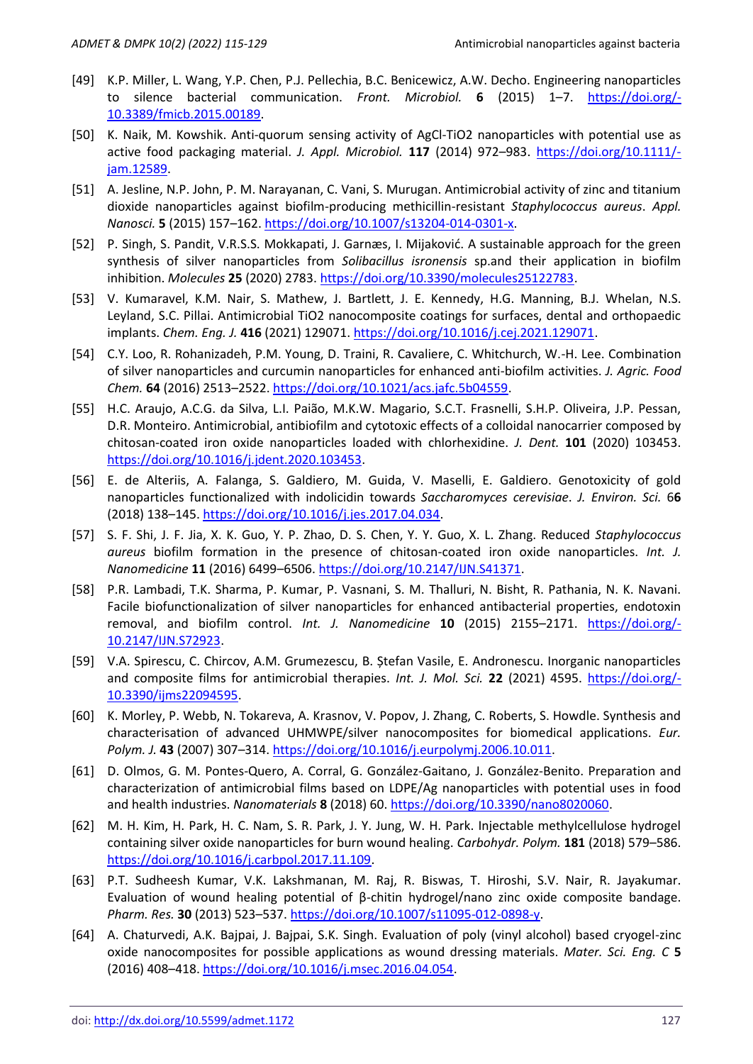- [49] K.P. Miller, L. Wang, Y.P. Chen, P.J. Pellechia, B.C. Benicewicz, A.W. Decho. Engineering nanoparticles to silence bacterial communication. *Front. Microbiol.* **6** (2015) 1–7. [https://doi.org/-](https://doi.org/10.3389/fmicb.2015.00189) [10.3389/fmicb.2015.00189.](https://doi.org/10.3389/fmicb.2015.00189)
- [50] K. Naik, M. Kowshik. Anti-quorum sensing activity of AgCl-TiO2 nanoparticles with potential use as active food packaging material. *J. Appl. Microbiol.* **117** (2014) 972–983. [https://doi.org/10.1111/](https://doi.org/10.1111/jam.12589) [jam.12589.](https://doi.org/10.1111/jam.12589)
- [51] A. Jesline, N.P. John, P. M. Narayanan, C. Vani, S. Murugan. Antimicrobial activity of zinc and titanium dioxide nanoparticles against biofilm-producing methicillin-resistant *Staphylococcus aureus*. *Appl. Nanosci.* **5** (2015) 157–162[. https://doi.org/10.1007/s13204-014-0301-x.](https://doi.org/10.1007/s13204-014-0301-x)
- [52] P. Singh, S. Pandit, V.R.S.S. Mokkapati, J. Garnæs, I. Mijaković. A sustainable approach for the green synthesis of silver nanoparticles from *Solibacillus isronensis* sp.and their application in biofilm inhibition. *Molecules* **25** (2020) 2783. [https://doi.org/10.3390/molecules25122783.](https://doi.org/10.3390/molecules25122783)
- [53] V. Kumaravel, K.M. Nair, S. Mathew, J. Bartlett, J. E. Kennedy, H.G. Manning, B.J. Whelan, N.S. Leyland, S.C. Pillai. Antimicrobial TiO2 nanocomposite coatings for surfaces, dental and orthopaedic implants. *Chem. Eng. J.* **416** (2021) 129071[. https://doi.org/10.1016/j.cej.2021.129071.](https://doi.org/10.1016/j.cej.2021.129071)
- [54] C.Y. Loo, R. Rohanizadeh, P.M. Young, D. Traini, R. Cavaliere, C. Whitchurch, W.-H. Lee. Combination of silver nanoparticles and curcumin nanoparticles for enhanced anti-biofilm activities. *J. Agric. Food Chem.* **64** (2016) 2513–2522. [https://doi.org/10.1021/acs.jafc.5b04559.](https://doi.org/10.1021/acs.jafc.5b04559)
- [55] H.C. Araujo, A.C.G. da Silva, L.I. Paião, M.K.W. Magario, S.C.T. Frasnelli, S.H.P. Oliveira, J.P. Pessan, D.R. Monteiro. Antimicrobial, antibiofilm and cytotoxic effects of a colloidal nanocarrier composed by chitosan-coated iron oxide nanoparticles loaded with chlorhexidine. *J. Dent.* **101** (2020) 103453. [https://doi.org/10.1016/j.jdent.2020.103453.](https://doi.org/10.1016/j.jdent.2020.103453)
- [56] E. de Alteriis, A. Falanga, S. Galdiero, M. Guida, V. Maselli, E. Galdiero. Genotoxicity of gold nanoparticles functionalized with indolicidin towards *Saccharomyces cerevisiae*. *J. Environ. Sci.* 6**6** (2018) 138–145[. https://doi.org/10.1016/j.jes.2017.04.034.](https://doi.org/10.1016/j.jes.2017.04.034)
- [57] S. F. Shi, J. F. Jia, X. K. Guo, Y. P. Zhao, D. S. Chen, Y. Y. Guo, X. L. Zhang. Reduced *Staphylococcus aureus* biofilm formation in the presence of chitosan-coated iron oxide nanoparticles. *Int. J. Nanomedicine* **11** (2016) 6499–6506. [https://doi.org/10.2147/IJN.S41371.](https://doi.org/10.2147/IJN.S41371)
- [58] P.R. Lambadi, T.K. Sharma, P. Kumar, P. Vasnani, S. M. Thalluri, N. Bisht, R. Pathania, N. K. Navani. Facile biofunctionalization of silver nanoparticles for enhanced antibacterial properties, endotoxin removal, and biofilm control. *Int. J. Nanomedicine* **10** (2015) 2155–2171. [https://doi.org/-](https://doi.org/10.2147/IJN.S72923) [10.2147/IJN.S72923.](https://doi.org/10.2147/IJN.S72923)
- [59] V.A. Spirescu, C. Chircov, A.M. Grumezescu, B. Ștefan Vasile, E. Andronescu. Inorganic nanoparticles and composite films for antimicrobial therapies. *Int. J. Mol. Sci.* **22** (2021) 4595. [https://doi.org/-](https://doi.org/10.3390/ijms22094595) [10.3390/ijms22094595.](https://doi.org/10.3390/ijms22094595)
- [60] K. Morley, P. Webb, N. Tokareva, A. Krasnov, V. Popov, J. Zhang, C. Roberts, S. Howdle. Synthesis and characterisation of advanced UHMWPE/silver nanocomposites for biomedical applications. *Eur. Polym. J.* **43** (2007) 307–314. [https://doi.org/10.1016/j.eurpolymj.2006.10.011.](https://doi.org/10.1016/j.eurpolymj.2006.10.011)
- [61] D. Olmos, G. M. Pontes-Quero, A. Corral, G. González-Gaitano, J. González-Benito. Preparation and characterization of antimicrobial films based on LDPE/Ag nanoparticles with potential uses in food and health industries. *Nanomaterials* **8** (2018) 60. [https://doi.org/10.3390/nano8020060.](https://doi.org/10.3390/nano8020060)
- [62] M. H. Kim, H. Park, H. C. Nam, S. R. Park, J. Y. Jung, W. H. Park. Injectable methylcellulose hydrogel containing silver oxide nanoparticles for burn wound healing. *Carbohydr. Polym.* **181** (2018) 579–586. [https://doi.org/10.1016/j.carbpol.2017.11.109.](https://doi.org/10.1016/j.carbpol.2017.11.109)
- [63] P.T. Sudheesh Kumar, V.K. Lakshmanan, M. Raj, R. Biswas, T. Hiroshi, S.V. Nair, R. Jayakumar. Evaluation of wound healing potential of β-chitin hydrogel/nano zinc oxide composite bandage. *Pharm. Res.* **30** (2013) 523–537. [https://doi.org/10.1007/s11095-012-0898-y.](https://doi.org/10.1007/s11095-012-0898-y)
- [64] A. Chaturvedi, A.K. Bajpai, J. Bajpai, S.K. Singh. Evaluation of poly (vinyl alcohol) based cryogel-zinc oxide nanocomposites for possible applications as wound dressing materials. *Mater. Sci. Eng. C* **5** (2016) 408–418[. https://doi.org/10.1016/j.msec.2016.04.054.](https://doi.org/10.1016/j.msec.2016.04.054)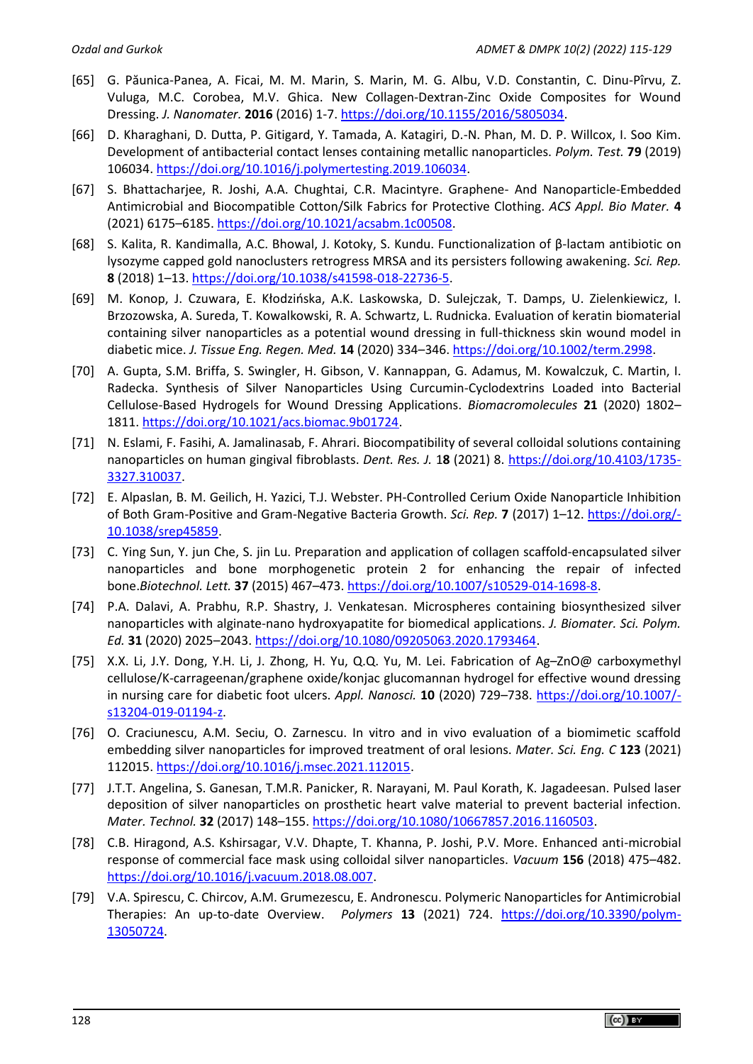- [65] G. Păunica-Panea, A. Ficai, M. M. Marin, S. Marin, M. G. Albu, V.D. Constantin, C. Dinu-Pîrvu, Z. Vuluga, M.C. Corobea, M.V. Ghica. New Collagen-Dextran-Zinc Oxide Composites for Wound Dressing. *J. Nanomater.* **2016** (2016) 1-7[. https://doi.org/10.1155/2016/5805034.](https://doi.org/10.1155/2016/5805034)
- [66] D. Kharaghani, D. Dutta, P. Gitigard, Y. Tamada, A. Katagiri, D.-N. Phan, M. D. P. Willcox, I. Soo Kim. Development of antibacterial contact lenses containing metallic nanoparticles. *Polym. Test.* **79** (2019) 106034. [https://doi.org/10.1016/j.polymertesting.2019.106034.](https://doi.org/10.1016/j.polymertesting.2019.106034)
- [67] S. Bhattacharjee, R. Joshi, A.A. Chughtai, C.R. Macintyre. Graphene- And Nanoparticle-Embedded Antimicrobial and Biocompatible Cotton/Silk Fabrics for Protective Clothing. *ACS Appl. Bio Mater.* **4** (2021) 6175–6185. [https://doi.org/10.1021/acsabm.1c00508.](https://doi.org/10.1021/acsabm.1c00508)
- [68] S. Kalita, R. Kandimalla, A.C. Bhowal, J. Kotoky, S. Kundu. Functionalization of β-lactam antibiotic on lysozyme capped gold nanoclusters retrogress MRSA and its persisters following awakening. *Sci. Rep.* **8** (2018) 1–13. [https://doi.org/10.1038/s41598-018-22736-5.](https://doi.org/10.1038/s41598-018-22736-5)
- [69] M. Konop, J. Czuwara, E. Kłodzińska, A.K. Laskowska, D. Sulejczak, T. Damps, U. Zielenkiewicz, I. Brzozowska, A. Sureda, T. Kowalkowski, R. A. Schwartz, L. Rudnicka. Evaluation of keratin biomaterial containing silver nanoparticles as a potential wound dressing in full-thickness skin wound model in diabetic mice. *J. Tissue Eng. Regen. Med.* **14** (2020) 334–346. [https://doi.org/10.1002/term.2998.](https://doi.org/10.1002/term.2998)
- [70] A. Gupta, S.M. Briffa, S. Swingler, H. Gibson, V. Kannappan, G. Adamus, M. Kowalczuk, C. Martin, I. Radecka. Synthesis of Silver Nanoparticles Using Curcumin-Cyclodextrins Loaded into Bacterial Cellulose-Based Hydrogels for Wound Dressing Applications. *Biomacromolecules* **21** (2020) 1802– 1811[. https://doi.org/10.1021/acs.biomac.9b01724.](https://doi.org/10.1021/acs.biomac.9b01724)
- [71] N. Eslami, F. Fasihi, A. Jamalinasab, F. Ahrari. Biocompatibility of several colloidal solutions containing nanoparticles on human gingival fibroblasts. *Dent. Res. J.* 1**8** (2021) 8. [https://doi.org/10.4103/1735-](https://doi.org/10.4103/1735-3327.310037) [3327.310037.](https://doi.org/10.4103/1735-3327.310037)
- [72] E. Alpaslan, B. M. Geilich, H. Yazici, T.J. Webster. PH-Controlled Cerium Oxide Nanoparticle Inhibition of Both Gram-Positive and Gram-Negative Bacteria Growth. *Sci. Rep.* **7** (2017) 1–12. [https://doi.org/-](https://doi.org/10.1038/srep45859) [10.1038/srep45859.](https://doi.org/10.1038/srep45859)
- [73] C. Ying Sun, Y. jun Che, S. jin Lu. Preparation and application of collagen scaffold-encapsulated silver nanoparticles and bone morphogenetic protein 2 for enhancing the repair of infected bone.*Biotechnol. Lett.* **37** (2015) 467–473. [https://doi.org/10.1007/s10529-014-1698-8.](https://doi.org/10.1007/s10529-014-1698-8)
- [74] P.A. Dalavi, A. Prabhu, R.P. Shastry, J. Venkatesan. Microspheres containing biosynthesized silver nanoparticles with alginate-nano hydroxyapatite for biomedical applications. *J. Biomater. Sci. Polym. Ed.* **31** (2020) 2025–2043. [https://doi.org/10.1080/09205063.2020.1793464.](https://doi.org/10.1080/09205063.2020.1793464)
- [75] X.X. Li, J.Y. Dong, Y.H. Li, J. Zhong, H. Yu, Q.Q. Yu, M. Lei. Fabrication of Ag–ZnO@ carboxymethyl cellulose/K-carrageenan/graphene oxide/konjac glucomannan hydrogel for effective wound dressing in nursing care for diabetic foot ulcers. *Appl. Nanosci.* **10** (2020) 729–738. [https://doi.org/10.1007/](https://doi.org/10.1007/s13204-019-01194-z) [s13204-019-01194-z.](https://doi.org/10.1007/s13204-019-01194-z)
- [76] O. Craciunescu, A.M. Seciu, O. Zarnescu. In vitro and in vivo evaluation of a biomimetic scaffold embedding silver nanoparticles for improved treatment of oral lesions. *Mater. Sci. Eng. C* **123** (2021) 112015. [https://doi.org/10.1016/j.msec.2021.112015.](https://doi.org/10.1016/j.msec.2021.112015)
- [77] J.T.T. Angelina, S. Ganesan, T.M.R. Panicker, R. Narayani, M. Paul Korath, K. Jagadeesan. Pulsed laser deposition of silver nanoparticles on prosthetic heart valve material to prevent bacterial infection. *Mater. Technol.* **32** (2017) 148–155. [https://doi.org/10.1080/10667857.2016.1160503.](https://doi.org/10.1080/10667857.2016.1160503)
- [78] C.B. Hiragond, A.S. Kshirsagar, V.V. Dhapte, T. Khanna, P. Joshi, P.V. More. Enhanced anti-microbial response of commercial face mask using colloidal silver nanoparticles. *Vacuum* **156** (2018) 475–482. [https://doi.org/10.1016/j.vacuum.2018.08.007.](https://doi.org/10.1016/j.vacuum.2018.08.007)
- [79] V.A. Spirescu, C. Chircov, A.M. Grumezescu, E. Andronescu. Polymeric Nanoparticles for Antimicrobial Therapies: An up-to-date Overview. *Polymers* **13** (2021) 724. [https://doi.org/10.3390/polym-](https://doi.org/10.3390/polym13050724)[13050724.](https://doi.org/10.3390/polym13050724)